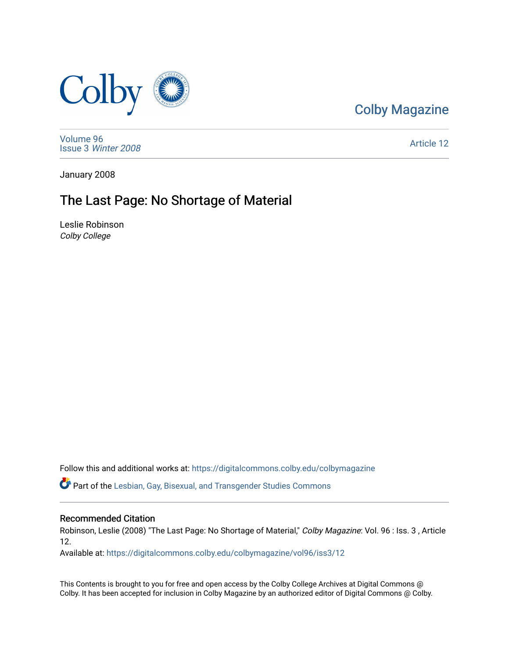

### [Colby Magazine](https://digitalcommons.colby.edu/colbymagazine)

[Volume 96](https://digitalcommons.colby.edu/colbymagazine/vol96) Issue 3 [Winter 2008](https://digitalcommons.colby.edu/colbymagazine/vol96/iss3) 

[Article 12](https://digitalcommons.colby.edu/colbymagazine/vol96/iss3/12) 

January 2008

## The Last Page: No Shortage of Material

Leslie Robinson Colby College

Follow this and additional works at: [https://digitalcommons.colby.edu/colbymagazine](https://digitalcommons.colby.edu/colbymagazine?utm_source=digitalcommons.colby.edu%2Fcolbymagazine%2Fvol96%2Fiss3%2F12&utm_medium=PDF&utm_campaign=PDFCoverPages)

Part of the [Lesbian, Gay, Bisexual, and Transgender Studies Commons](http://network.bepress.com/hgg/discipline/560?utm_source=digitalcommons.colby.edu%2Fcolbymagazine%2Fvol96%2Fiss3%2F12&utm_medium=PDF&utm_campaign=PDFCoverPages)

### Recommended Citation

Robinson, Leslie (2008) "The Last Page: No Shortage of Material," Colby Magazine: Vol. 96 : Iss. 3, Article 12.

Available at: [https://digitalcommons.colby.edu/colbymagazine/vol96/iss3/12](https://digitalcommons.colby.edu/colbymagazine/vol96/iss3/12?utm_source=digitalcommons.colby.edu%2Fcolbymagazine%2Fvol96%2Fiss3%2F12&utm_medium=PDF&utm_campaign=PDFCoverPages) 

This Contents is brought to you for free and open access by the Colby College Archives at Digital Commons @ Colby. It has been accepted for inclusion in Colby Magazine by an authorized editor of Digital Commons @ Colby.